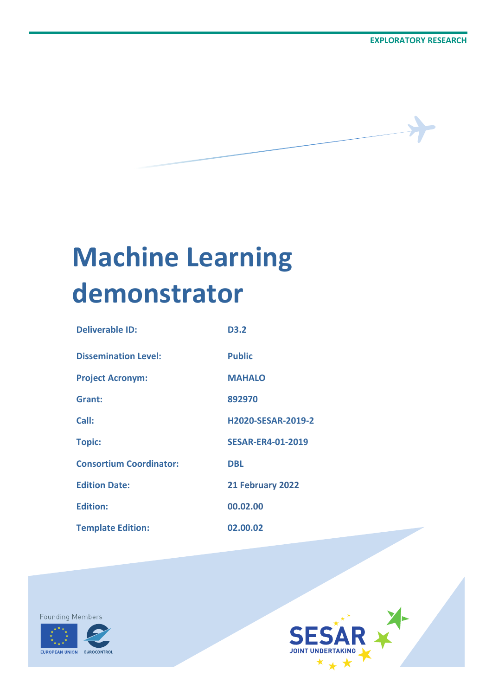# **Machine Learning demonstrator**

| <b>Deliverable ID:</b>         | D <sub>3</sub> .2         |
|--------------------------------|---------------------------|
| <b>Dissemination Level:</b>    | <b>Public</b>             |
| <b>Project Acronym:</b>        | <b>MAHALO</b>             |
| Grant:                         | 892970                    |
| Call:                          | <b>H2020-SESAR-2019-2</b> |
| <b>Topic:</b>                  | <b>SESAR-ER4-01-2019</b>  |
| <b>Consortium Coordinator:</b> | <b>DBL</b>                |
| <b>Edition Date:</b>           | 21 February 2022          |
| <b>Edition:</b>                | 00.02.00                  |
| <b>Template Edition:</b>       | 02.00.02                  |



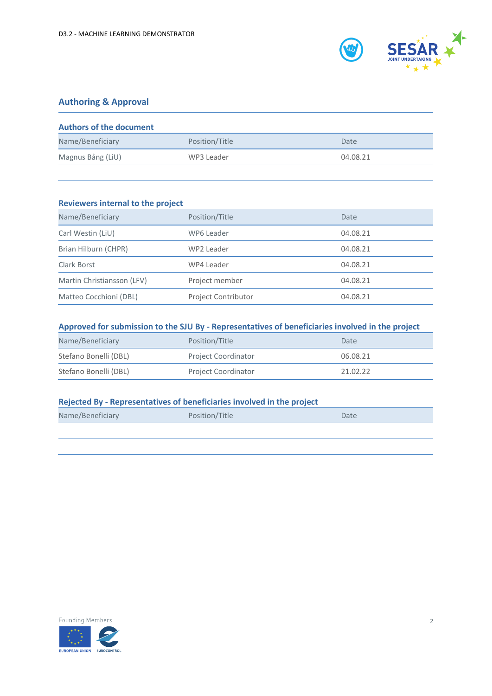

### **Authoring & Approval**

| <b>Authors of the document</b> |                |          |
|--------------------------------|----------------|----------|
| Name/Beneficiary               | Position/Title | Date     |
| Magnus Bång (LiU)              | WP3 Leader     | 04.08.21 |

| Reviewers internal to the project |                            |          |  |
|-----------------------------------|----------------------------|----------|--|
| Name/Beneficiary                  | Position/Title             | Date     |  |
| Carl Westin (LiU)                 | WP6 Leader                 | 04.08.21 |  |
| Brian Hilburn (CHPR)              | WP2 Leader                 | 04.08.21 |  |
| Clark Borst                       | WP4 Leader                 | 04.08.21 |  |
| Martin Christiansson (LFV)        | Project member             | 04.08.21 |  |
| Matteo Cocchioni (DBL)            | <b>Project Contributor</b> | 04.08.21 |  |

### **Approved for submission to the SJU By - Representatives of beneficiaries involved in the project**

| Name/Beneficiary      | Position/Title             | Date     |
|-----------------------|----------------------------|----------|
| Stefano Bonelli (DBL) | <b>Project Coordinator</b> | 06.08.21 |
| Stefano Bonelli (DBL) | <b>Project Coordinator</b> | 21.02.22 |

#### **Rejected By - Representatives of beneficiaries involved in the project**

| Name/Beneficiary | Position/Title | Date |
|------------------|----------------|------|
|                  |                |      |

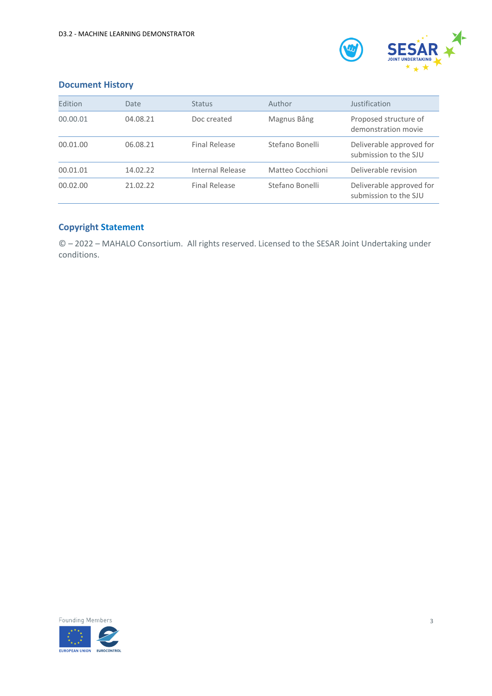

### **Document History**

| Edition  | Date     | <b>Status</b>        | Author           | Justification                                     |
|----------|----------|----------------------|------------------|---------------------------------------------------|
| 00.00.01 | 04.08.21 | Doc created          | Magnus Bång      | Proposed structure of<br>demonstration movie      |
| 00.01.00 | 06.08.21 | <b>Final Release</b> | Stefano Bonelli  | Deliverable approved for<br>submission to the SJU |
| 00.01.01 | 14.02.22 | Internal Release     | Matteo Cocchioni | Deliverable revision                              |
| 00.02.00 | 21.02.22 | <b>Final Release</b> | Stefano Bonelli  | Deliverable approved for<br>submission to the SJU |

### **Copyright Statement**

© – 2022 – MAHALO Consortium. All rights reserved. Licensed to the SESAR Joint Undertaking under conditions.

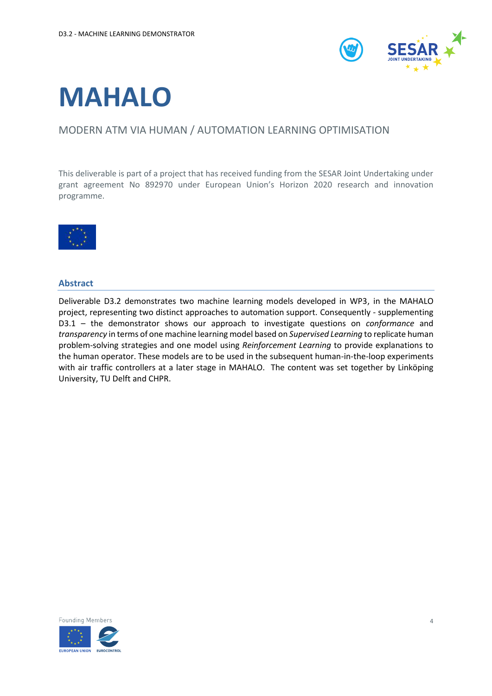

## **MAHALO**

### MODERN ATM VIA HUMAN / AUTOMATION LEARNING OPTIMISATION

This deliverable is part of a project that has received funding from the SESAR Joint Undertaking under grant agreement No 892970 under European Union's Horizon 2020 research and innovation programme.



#### <span id="page-3-0"></span>**Abstract**

Deliverable D3.2 demonstrates two machine learning models developed in WP3, in the MAHALO project, representing two distinct approaches to automation support. Consequently - supplementing D3.1 – the demonstrator shows our approach to investigate questions on *conformance* and *transparency* in terms of one machine learning model based on *Supervised Learning* to replicate human problem-solving strategies and one model using *Reinforcement Learning* to provide explanations to the human operator. These models are to be used in the subsequent human-in-the-loop experiments with air traffic controllers at a later stage in MAHALO. The content was set together by Linköping University, TU Delft and CHPR.

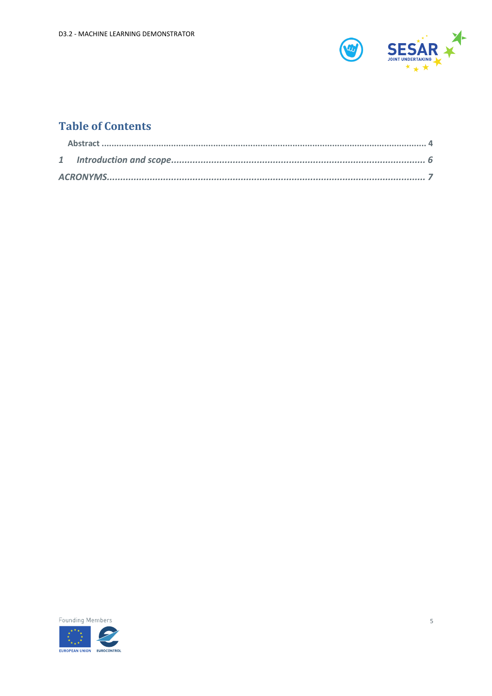

### **Table of Contents**

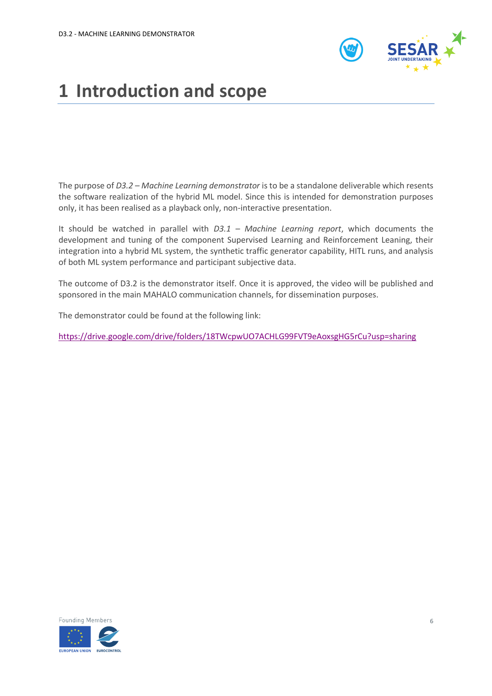

### <span id="page-5-0"></span>**1 Introduction and scope**

The purpose of *D3.2 – Machine Learning demonstrator* is to be a standalone deliverable which resents the software realization of the hybrid ML model. Since this is intended for demonstration purposes only, it has been realised as a playback only, non-interactive presentation.

It should be watched in parallel with *D3.1 – Machine Learning report*, which documents the development and tuning of the component Supervised Learning and Reinforcement Leaning, their integration into a hybrid ML system, the synthetic traffic generator capability, HITL runs, and analysis of both ML system performance and participant subjective data.

The outcome of D3.2 is the demonstrator itself. Once it is approved, the video will be published and sponsored in the main MAHALO communication channels, for dissemination purposes.

The demonstrator could be found at the following link:

<https://drive.google.com/drive/folders/18TWcpwUO7ACHLG99FVT9eAoxsgHG5rCu?usp=sharing>